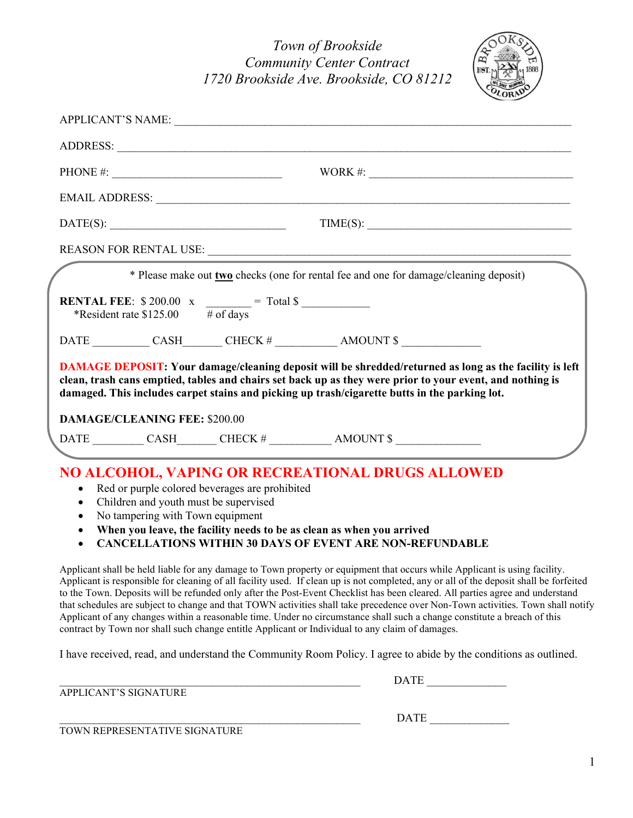

|                                      |                                                                                    |                                                                                               | EMAIL ADDRESS: Universe of the set of the set of the set of the set of the set of the set of the set of the set of the set of the set of the set of the set of the set of the set of the set of the set of the set of the set                                                                                                                                                                                                                                                  |  |
|--------------------------------------|------------------------------------------------------------------------------------|-----------------------------------------------------------------------------------------------|--------------------------------------------------------------------------------------------------------------------------------------------------------------------------------------------------------------------------------------------------------------------------------------------------------------------------------------------------------------------------------------------------------------------------------------------------------------------------------|--|
|                                      | DATE(S):                                                                           |                                                                                               | $TIME(S): \begin{tabular}{ c c c } \hline \multicolumn{3}{ c }{\textbf{TIME(S)}}: & \multicolumn{3}{ c }{\textbf{TIME(S)}}: & \multicolumn{3}{ c }{\textbf{TIME(S)}}: & \multicolumn{3}{ c }{\textbf{TIME(S)}}: & \multicolumn{3}{ c }{\textbf{TIME(S)}}: & \multicolumn{3}{ c }{\textbf{TIME(S)}}: & \multicolumn{3}{ c }{\textbf{TIME(S)}}: & \multicolumn{3}{ c }{\textbf{TIME(S)}}: & \multicolumn{3}{ c }{\textbf{TIME(S)}}: & \multicolumn{3}{ c }{\textbf{TIME(S)}}: &$ |  |
|                                      |                                                                                    |                                                                                               |                                                                                                                                                                                                                                                                                                                                                                                                                                                                                |  |
| *Resident rate $$125.00$ # of days   | <b>RENTAL FEE:</b> $$200.00 \text{ x } \underline{\hspace{2cm}} = \text{Total } $$ | * Please make out <b>two</b> checks (one for rental fee and one for damage/cleaning deposit)  |                                                                                                                                                                                                                                                                                                                                                                                                                                                                                |  |
|                                      |                                                                                    | damaged. This includes carpet stains and picking up trash/cigarette butts in the parking lot. | <b>DAMAGE DEPOSIT:</b> Your damage/cleaning deposit will be shredded/returned as long as the facility is left<br>clean, trash cans emptied, tables and chairs set back up as they were prior to your event, and nothing is                                                                                                                                                                                                                                                     |  |
| <b>DAMAGE/CLEANING FEE: \$200.00</b> |                                                                                    |                                                                                               |                                                                                                                                                                                                                                                                                                                                                                                                                                                                                |  |
|                                      |                                                                                    |                                                                                               |                                                                                                                                                                                                                                                                                                                                                                                                                                                                                |  |
|                                      |                                                                                    | NO ALCOHOL VADING OD DECDEATIONAL DDHCG ALLOWED.                                              |                                                                                                                                                                                                                                                                                                                                                                                                                                                                                |  |

# NO ALCOHOL, VAPING OR RECREATIONAL DRUGS ALLOWED

- Red or purple colored beverages are prohibited
- Children and youth must be supervised
- No tampering with Town equipment
- When you leave, the facility needs to be as clean as when you arrived
- CANCELLATIONS WITHIN 30 DAYS OF EVENT ARE NON-REFUNDABLE

Applicant shall be held liable for any damage to Town property or equipment that occurs while Applicant is using facility. Applicant is responsible for cleaning of all facility used. If clean up is not completed, any or all of the deposit shall be forfeited to the Town. Deposits will be refunded only after the Post-Event Checklist has been cleared. All parties agree and understand that schedules are subject to change and that TOWN activities shall take precedence over Non-Town activities. Town shall notify Applicant of any changes within a reasonable time. Under no circumstance shall such a change constitute a breach of this contract by Town nor shall such change entitle Applicant or Individual to any claim of damages.

I have received, read, and understand the Community Room Policy. I agree to abide by the conditions as outlined.

\_\_\_\_\_\_\_\_\_\_\_\_\_\_\_\_\_\_\_\_\_\_\_\_\_\_\_\_\_\_\_\_\_\_\_\_\_\_\_\_\_\_\_\_\_\_\_\_\_\_\_\_\_ DATE \_\_\_\_\_\_\_\_\_\_\_\_\_\_

APPLICANT'S SIGNATURE

 $_{\rm {DATE}}$ 

TOWN REPRESENTATIVE SIGNATURE

1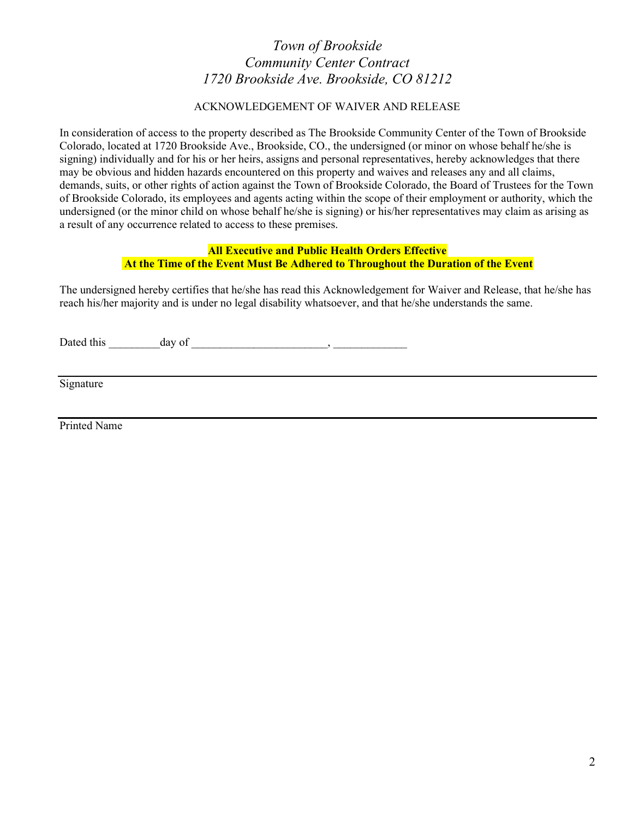#### ACKNOWLEDGEMENT OF WAIVER AND RELEASE

In consideration of access to the property described as The Brookside Community Center of the Town of Brookside Colorado, located at 1720 Brookside Ave., Brookside, CO., the undersigned (or minor on whose behalf he/she is signing) individually and for his or her heirs, assigns and personal representatives, hereby acknowledges that there may be obvious and hidden hazards encountered on this property and waives and releases any and all claims, demands, suits, or other rights of action against the Town of Brookside Colorado, the Board of Trustees for the Town of Brookside Colorado, its employees and agents acting within the scope of their employment or authority, which the undersigned (or the minor child on whose behalf he/she is signing) or his/her representatives may claim as arising as a result of any occurrence related to access to these premises.

### All Executive and Public Health Orders Effective At the Time of the Event Must Be Adhered to Throughout the Duration of the Event

The undersigned hereby certifies that he/she has read this Acknowledgement for Waiver and Release, that he/she has reach his/her majority and is under no legal disability whatsoever, and that he/she understands the same.

Dated this day of  $\qquad \qquad \qquad$ 

Signature

Printed Name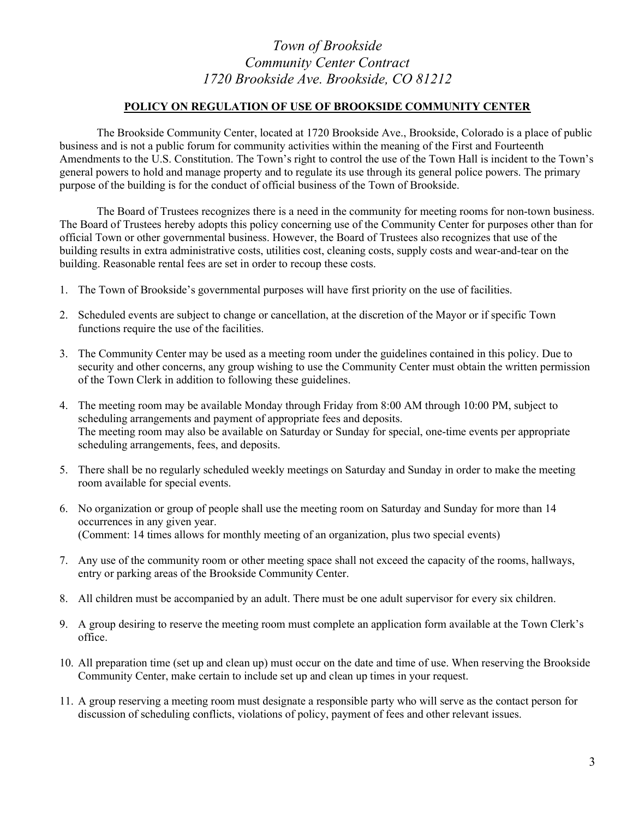### POLICY ON REGULATION OF USE OF BROOKSIDE COMMUNITY CENTER

 The Brookside Community Center, located at 1720 Brookside Ave., Brookside, Colorado is a place of public business and is not a public forum for community activities within the meaning of the First and Fourteenth Amendments to the U.S. Constitution. The Town's right to control the use of the Town Hall is incident to the Town's general powers to hold and manage property and to regulate its use through its general police powers. The primary purpose of the building is for the conduct of official business of the Town of Brookside.

 The Board of Trustees recognizes there is a need in the community for meeting rooms for non-town business. The Board of Trustees hereby adopts this policy concerning use of the Community Center for purposes other than for official Town or other governmental business. However, the Board of Trustees also recognizes that use of the building results in extra administrative costs, utilities cost, cleaning costs, supply costs and wear-and-tear on the building. Reasonable rental fees are set in order to recoup these costs.

- 1. The Town of Brookside's governmental purposes will have first priority on the use of facilities.
- 2. Scheduled events are subject to change or cancellation, at the discretion of the Mayor or if specific Town functions require the use of the facilities.
- 3. The Community Center may be used as a meeting room under the guidelines contained in this policy. Due to security and other concerns, any group wishing to use the Community Center must obtain the written permission of the Town Clerk in addition to following these guidelines.
- 4. The meeting room may be available Monday through Friday from 8:00 AM through 10:00 PM, subject to scheduling arrangements and payment of appropriate fees and deposits. The meeting room may also be available on Saturday or Sunday for special, one-time events per appropriate scheduling arrangements, fees, and deposits.
- 5. There shall be no regularly scheduled weekly meetings on Saturday and Sunday in order to make the meeting room available for special events.
- 6. No organization or group of people shall use the meeting room on Saturday and Sunday for more than 14 occurrences in any given year. (Comment: 14 times allows for monthly meeting of an organization, plus two special events)
- 7. Any use of the community room or other meeting space shall not exceed the capacity of the rooms, hallways, entry or parking areas of the Brookside Community Center.
- 8. All children must be accompanied by an adult. There must be one adult supervisor for every six children.
- 9. A group desiring to reserve the meeting room must complete an application form available at the Town Clerk's office.
- 10. All preparation time (set up and clean up) must occur on the date and time of use. When reserving the Brookside Community Center, make certain to include set up and clean up times in your request.
- 11. A group reserving a meeting room must designate a responsible party who will serve as the contact person for discussion of scheduling conflicts, violations of policy, payment of fees and other relevant issues.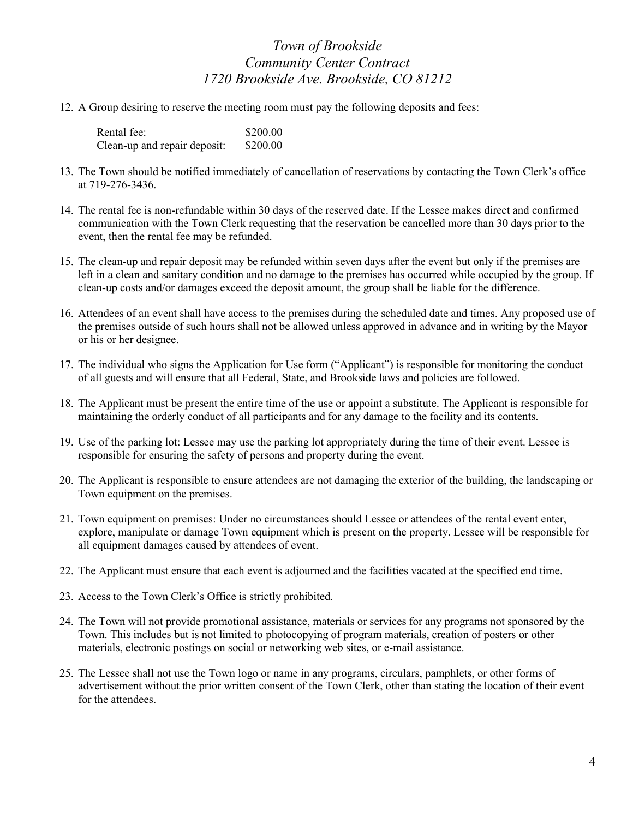12. A Group desiring to reserve the meeting room must pay the following deposits and fees:

| Rental fee:                  | \$200.00 |
|------------------------------|----------|
| Clean-up and repair deposit: | \$200.00 |

- 13. The Town should be notified immediately of cancellation of reservations by contacting the Town Clerk's office at 719-276-3436.
- 14. The rental fee is non-refundable within 30 days of the reserved date. If the Lessee makes direct and confirmed communication with the Town Clerk requesting that the reservation be cancelled more than 30 days prior to the event, then the rental fee may be refunded.
- 15. The clean-up and repair deposit may be refunded within seven days after the event but only if the premises are left in a clean and sanitary condition and no damage to the premises has occurred while occupied by the group. If clean-up costs and/or damages exceed the deposit amount, the group shall be liable for the difference.
- 16. Attendees of an event shall have access to the premises during the scheduled date and times. Any proposed use of the premises outside of such hours shall not be allowed unless approved in advance and in writing by the Mayor or his or her designee.
- 17. The individual who signs the Application for Use form ("Applicant") is responsible for monitoring the conduct of all guests and will ensure that all Federal, State, and Brookside laws and policies are followed.
- 18. The Applicant must be present the entire time of the use or appoint a substitute. The Applicant is responsible for maintaining the orderly conduct of all participants and for any damage to the facility and its contents.
- 19. Use of the parking lot: Lessee may use the parking lot appropriately during the time of their event. Lessee is responsible for ensuring the safety of persons and property during the event.
- 20. The Applicant is responsible to ensure attendees are not damaging the exterior of the building, the landscaping or Town equipment on the premises.
- 21. Town equipment on premises: Under no circumstances should Lessee or attendees of the rental event enter, explore, manipulate or damage Town equipment which is present on the property. Lessee will be responsible for all equipment damages caused by attendees of event.
- 22. The Applicant must ensure that each event is adjourned and the facilities vacated at the specified end time.
- 23. Access to the Town Clerk's Office is strictly prohibited.
- 24. The Town will not provide promotional assistance, materials or services for any programs not sponsored by the Town. This includes but is not limited to photocopying of program materials, creation of posters or other materials, electronic postings on social or networking web sites, or e-mail assistance.
- 25. The Lessee shall not use the Town logo or name in any programs, circulars, pamphlets, or other forms of advertisement without the prior written consent of the Town Clerk, other than stating the location of their event for the attendees.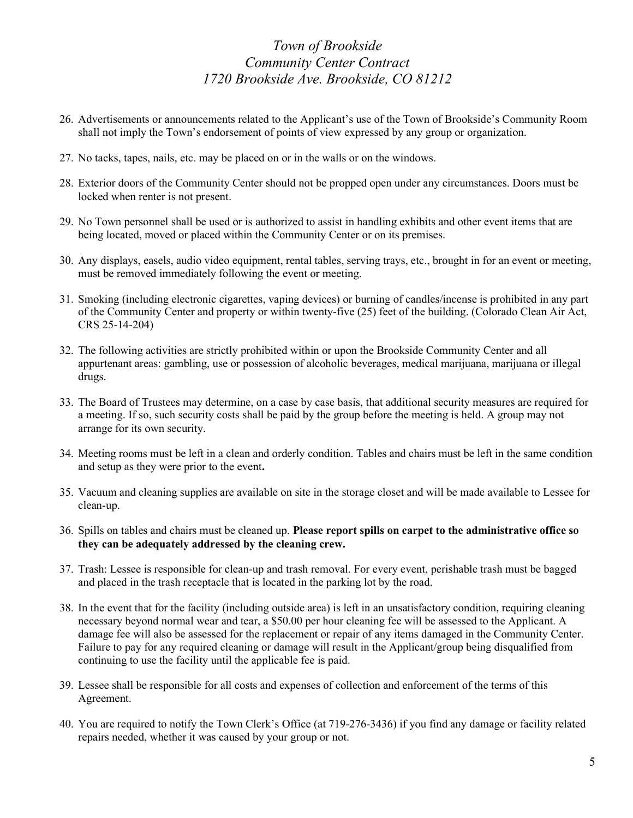- 26. Advertisements or announcements related to the Applicant's use of the Town of Brookside's Community Room shall not imply the Town's endorsement of points of view expressed by any group or organization.
- 27. No tacks, tapes, nails, etc. may be placed on or in the walls or on the windows.
- 28. Exterior doors of the Community Center should not be propped open under any circumstances. Doors must be locked when renter is not present.
- 29. No Town personnel shall be used or is authorized to assist in handling exhibits and other event items that are being located, moved or placed within the Community Center or on its premises.
- 30. Any displays, easels, audio video equipment, rental tables, serving trays, etc., brought in for an event or meeting, must be removed immediately following the event or meeting.
- 31. Smoking (including electronic cigarettes, vaping devices) or burning of candles/incense is prohibited in any part of the Community Center and property or within twenty-five (25) feet of the building. (Colorado Clean Air Act, CRS 25-14-204)
- 32. The following activities are strictly prohibited within or upon the Brookside Community Center and all appurtenant areas: gambling, use or possession of alcoholic beverages, medical marijuana, marijuana or illegal drugs.
- 33. The Board of Trustees may determine, on a case by case basis, that additional security measures are required for a meeting. If so, such security costs shall be paid by the group before the meeting is held. A group may not arrange for its own security.
- 34. Meeting rooms must be left in a clean and orderly condition. Tables and chairs must be left in the same condition and setup as they were prior to the event.
- 35. Vacuum and cleaning supplies are available on site in the storage closet and will be made available to Lessee for clean-up.
- 36. Spills on tables and chairs must be cleaned up. Please report spills on carpet to the administrative office so they can be adequately addressed by the cleaning crew.
- 37. Trash: Lessee is responsible for clean-up and trash removal. For every event, perishable trash must be bagged and placed in the trash receptacle that is located in the parking lot by the road.
- 38. In the event that for the facility (including outside area) is left in an unsatisfactory condition, requiring cleaning necessary beyond normal wear and tear, a \$50.00 per hour cleaning fee will be assessed to the Applicant. A damage fee will also be assessed for the replacement or repair of any items damaged in the Community Center. Failure to pay for any required cleaning or damage will result in the Applicant/group being disqualified from continuing to use the facility until the applicable fee is paid.
- 39. Lessee shall be responsible for all costs and expenses of collection and enforcement of the terms of this Agreement.
- 40. You are required to notify the Town Clerk's Office (at 719-276-3436) if you find any damage or facility related repairs needed, whether it was caused by your group or not.